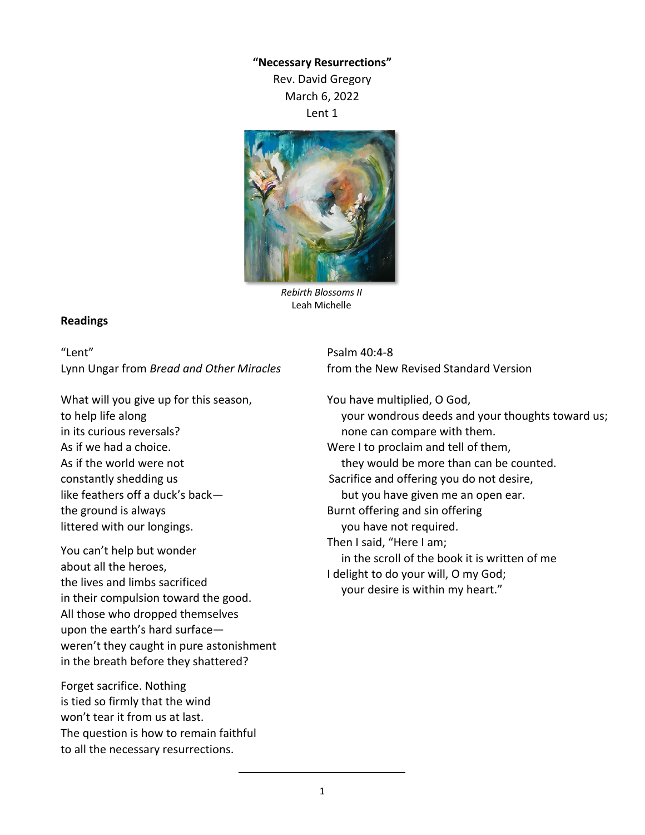## **"Necessary Resurrections"**

Rev. David Gregory March 6, 2022 Lent 1



*Rebirth Blossoms II* Leah Michelle

## **Readings**

"Lent" Lynn Ungar from *Bread and Other Miracles*

What will you give up for this season, to help life along in its curious reversals? As if we had a choice. As if the world were not constantly shedding us like feathers off a duck's back the ground is always littered with our longings.

You can't help but wonder about all the heroes, the lives and limbs sacrificed in their compulsion toward the good. All those who dropped themselves upon the earth's hard surface weren't they caught in pure astonishment in the breath before they shattered?

Forget sacrifice. Nothing is tied so firmly that the wind won't tear it from us at last. The question is how to remain faithful to all the necessary resurrections.

Psalm 40:4-8 from the New Revised Standard Version

You have multiplied, O God, your wondrous deeds and your thoughts toward us; none can compare with them. Were I to proclaim and tell of them, they would be more than can be counted. Sacrifice and offering you do not desire, but you have given me an open ear. Burnt offering and sin offering you have not required. Then I said, "Here I am; in the scroll of the book it is written of me I delight to do your will, O my God; your desire is within my heart."